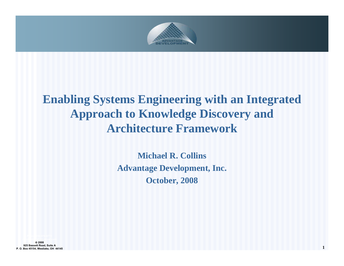

### **Enabling Systems Engineering with an Integrated Approach to Knowledge Discovery and Architecture Framework**

**Michael R. CollinsAdvantage Development, Inc. October, 2008**

© **2008 925 Bassett Road, Suite A P. O. Box 45154, Westlake, OH 44145 1**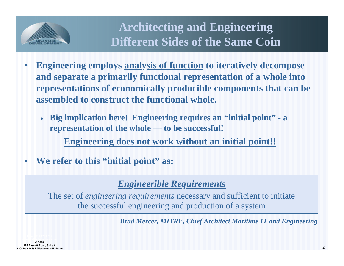

**Architecting and Engineering Different Sides of the Same Coin**

- • **Engineering employs analysis of function to iteratively decompose and separate a primarily functional representation of a whole into representations of economically producible components that can be assembled to construct the functional whole.**
	- ٠ **Big implication here! Engineering requires an "initial point" - <sup>a</sup> representation of the whole — to be successful!**

**Engineering does not work without an initial point!!**

•**We refer to this "initial point" as:**

#### *Engineerible Requirements*

The set of *engineering requirements* necessary and sufficient to initiate the successful engineering and production of a system

*Brad Mercer, MITRE, Chief Architect Maritime IT and Engineering*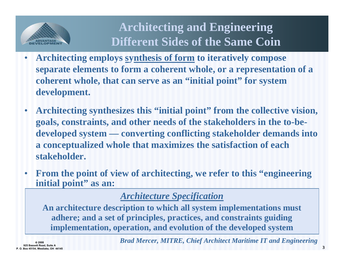

**Architecting and Engineering Different Sides of the Same Coin**

- • **Architecting employs synthesis of form to iteratively compose separate elements to form a coherent whole, or a representation of a coherent whole, that can serve as an "initial point" for system development.**
- • **Architecting synthesizes this "initial point" from the collective vision, goals, constraints, and other needs of the stakeholders in the to-bedeveloped system — converting conflicting stakeholder demands into a conceptualized whole that maximizes the satisfaction of each stakeholder.**
- • **From the point of view of architecting, we refer to this "engineering initial point" as an:**

#### *Architecture Specification*

**An architecture description to which all system implementations must adhere; and a set of principles, practices, and constraints guiding implementation, operation, and evolution of the developed system**

*Brad Mercer, MITRE, Chief Architect Maritime IT and Engineering*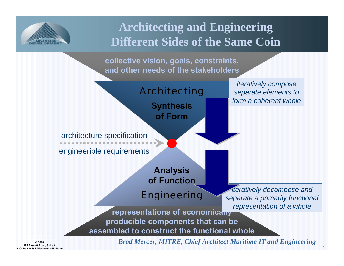

### **Architecting and Engineering Different Sides of the Same Coin**

**collective vision, goals, constraints, and other needs of the stakeholders**



© **2008 925 Bassett Road, Suite A P. O. Box 45154, Westlake, OH 44145** *Brad Mercer, MITRE, Chief Architect Maritime IT and Engineering*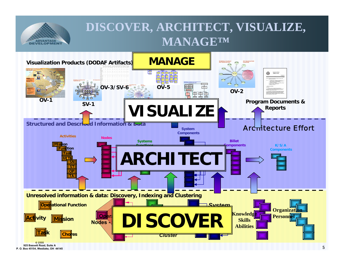

### **DISCOVER, ARCHITECT, VISUALIZE, MANAGE™**



**P. O. Box 45154, Westlake, OH 44145**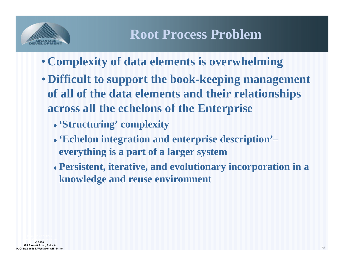

- **Complexity of data elements is overwhelming**
- **Difficult to support the book-keeping management of all of the data elements and their relationships across all the echelons of the Enterprise**
	- **'Structuring' complexity**
	- **'Echelon integration and enterprise description'– everything is a part of a larger system**
	- **Persistent, iterative, and evolutionary incorporation in a knowledge and reuse environment**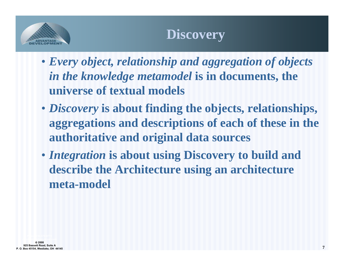

- *Every object, relationship and aggregation of objects in the knowledge metamodel* **is in documents, the universe of textual models**
- *Discovery* **is about finding the objects, relationships, aggregations and descriptions of each of these in the authoritative and original data sources**
- *Integration* **is about using Discovery to build and describe the Architecture using an architecture meta-model**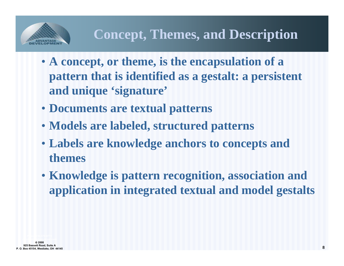

- **A concept, or theme, is the encapsulation of a pattern that is identified as a gestalt: a persistent and unique 'signature'**
- **Documents are textual patterns**
- **Models are labeled, structured patterns**
- **Labels are knowledge anchors to concepts and themes**
- **Knowledge is pattern recognition, association and application in integrated textual and model gestalts**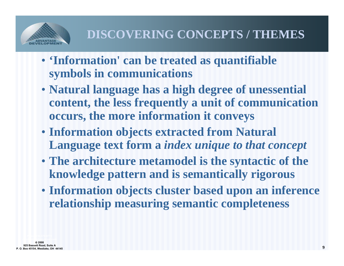

- **'Information' can be treated as quantifiable symbols in communications**
- **Natural language has a high degree of unessential content, the less frequently a unit of communication occurs, the more information it conveys**
- **Information objects extracted from Natural Language text form a** *index unique to that concept*
- **The architecture metamodel is the syntactic of the knowledge pattern and is semantically rigorous**
- **Information objects cluster based upon an inference relationship measuring semantic completeness**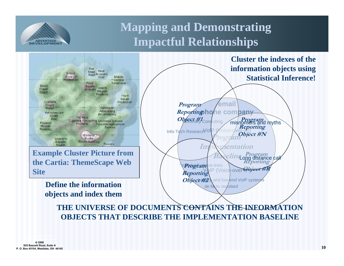

### **Mapping and Demonstrating Impactful Relationships**

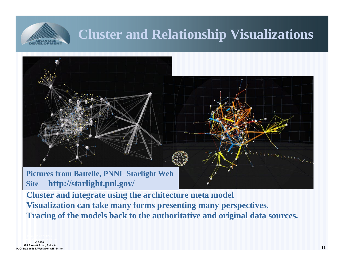

# **Cluster and Relationship Visualizations**



**Pictures from Battelle, PNNL Starlight Web Site http://starlight.pnl.gov/**

**Cluster and integrate using the architecture meta model Visualization can take many forms presenting many perspectives. Tracing of the models back to the authoritative and original data sources.**

© **2008 925 Bassett Road, Suite A P. O. Box 45154, Westlake, OH 44145** (VII) YOU VIII YOU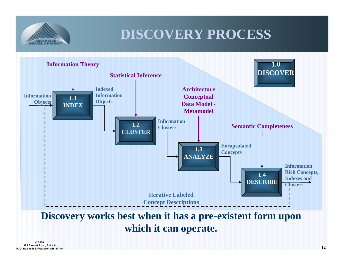

# **DISCOVERY PROCESS**



**which it can operate.**

© **2008 925 Bassett Road, Suite A P. O. Box 45154, Westlake, OH 44145**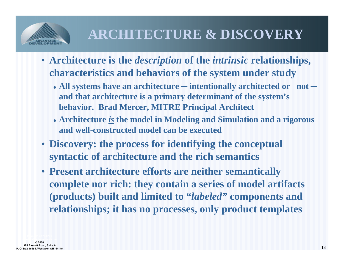

# **ARCHITECTURE & DISCOVERY**

- **Architecture is the** *description* **of the** *intrinsic* **relationships, characteristics and behaviors of the system under study**
	- **All systems have an architecture ─ intentionally architected or not ─ and that architecture is a primary determinant of the system's behavior. Brad Mercer, MITRE Principal Architect**
	- **Architecture** *is* **the model in Modeling and Simulation and a rigorous and well-constructed model can be executed**
- **Discovery: the process for identifying the conceptual syntactic of architecture and the rich semantics**
- **Present architecture efforts are neither semantically complete nor rich: they contain a series of model artifacts (products) built and limited to "***labeled"* **components and relationships; it has no processes, only product templates**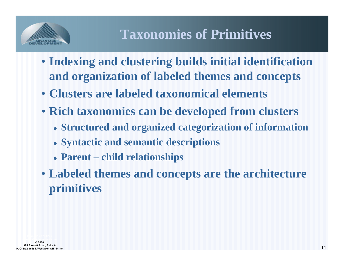

# **Taxonomies of Primitives**

- **Indexing and clustering builds initial identification and organization of labeled themes and concepts**
- **Clusters are labeled taxonomical elements**
- **Rich taxonomies can be developed from clusters**
	- **Structured and organized categorization of information**
	- **Syntactic and semantic descriptions**
	- **Parent – child relationships**
- **Labeled themes and concepts are the architecture primitives**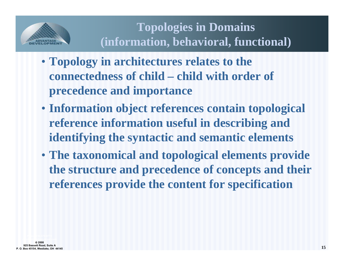

### **Topologies in Domains (information, behavioral, functional)**

- **Topology in architectures relates to the connectedness of child – child with order of precedence and importance**
- **Information object references contain topological reference information useful in describing and identifying the syntactic and semantic elements**
- **The taxonomical and topological elements provide the structure and precedence of concepts and their references provide the content for specification**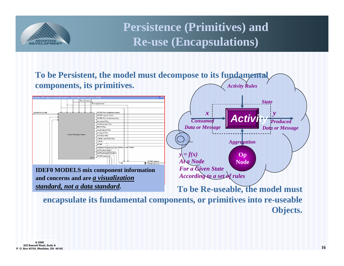

**Persistence (Primitives) and Re-use (Encapsulations)**



**Objects.**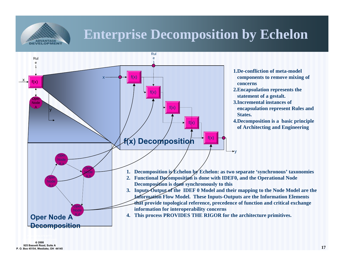

# **Enterprise Decomposition by Echelon**



© **2008 925 Bassett Road, Suite A P. O. Box 45154, Westlake, OH 44145**

**17**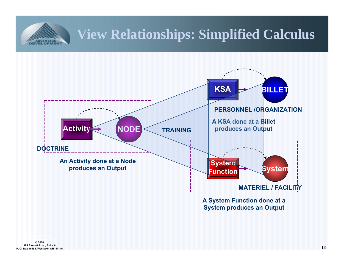## **View Relationships: Simplified Calculus**



**A System Function done at a System produces an Output**

VELOPMENT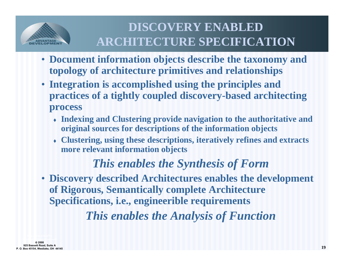

### **DISCOVERY ENABLED ARCHITECTURE SPECIFICATION**

- **Document information objects describe the taxonomy and topology of architecture primitives and relationships**
- **Integration is accomplished using the principles and practices of a tightly coupled discovery-based architecting process** 
	- **Indexing and Clustering provide navigation to the authoritative and original sources for descriptions of the information objects**
	- **Clustering, using these descriptions, iteratively refines and extracts more relevant information objects**

#### *This enables the Synthesis of Form*

• **Discovery described Architectures enables the development of Rigorous, Semantically complete Architecture Specifications, i.e., engineerible requirements**

*This enables the Analysis of Function*